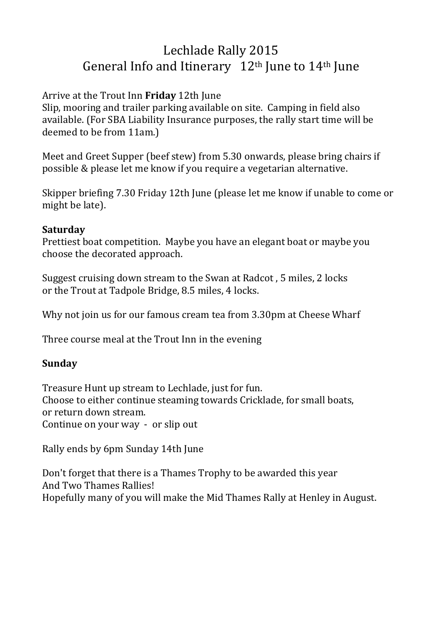# Lechlade Rally 2015 General Info and Itinerary  $12<sup>th</sup>$  June to  $14<sup>th</sup>$  June

## Arrive at the Trout Inn **Friday** 12th June

Slip, mooring and trailer parking available on site. Camping in field also available. (For SBA Liability Insurance purposes, the rally start time will be deemed to be from 11am.)

Meet and Greet Supper (beef stew) from 5.30 onwards, please bring chairs if possible & please let me know if you require a vegetarian alternative.

Skipper briefing 7.30 Friday 12th June (please let me know if unable to come or might be late).

### **Saturday**

Prettiest boat competition. Maybe you have an elegant boat or maybe you choose the decorated approach.

Suggest cruising down stream to the Swan at Radcot , 5 miles, 2 locks or the Trout at Tadpole Bridge, 8.5 miles, 4 locks.

Why not join us for our famous cream tea from 3.30pm at Cheese Wharf

Three course meal at the Trout Inn in the evening

### **Sunday**

Treasure Hunt up stream to Lechlade, just for fun. Choose to either continue steaming towards Cricklade, for small boats, or return down stream. Continue on your way - or slip out

Rally ends by 6pm Sunday 14th June

Don't forget that there is a Thames Trophy to be awarded this year And Two Thames Rallies! Hopefully many of you will make the Mid Thames Rally at Henley in August.